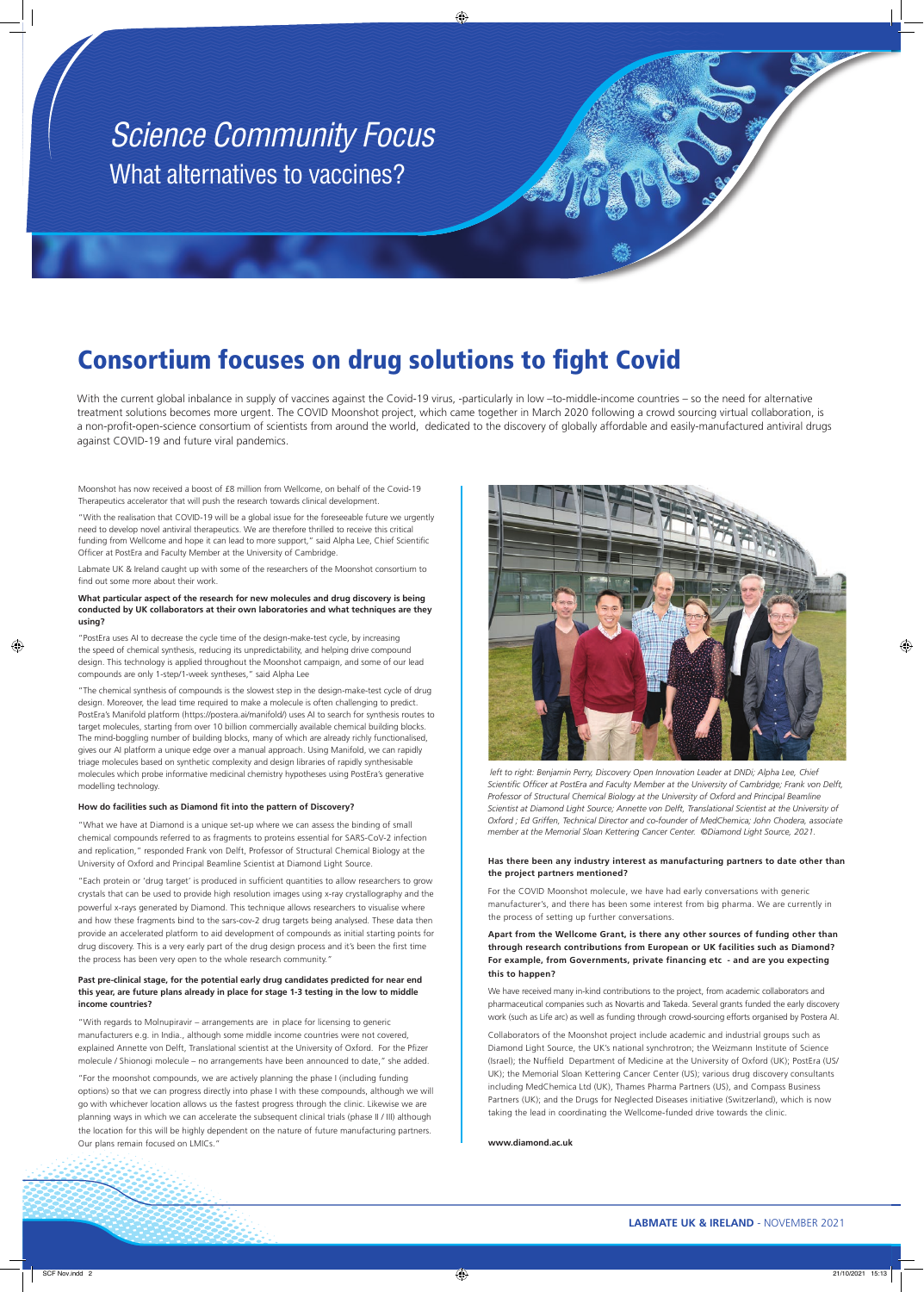"With the realisation that COVID-19 will be a global issue for the foreseeable future we urgently need to develop novel antiviral therapeutics. We are therefore thrilled to receive this critical funding from Wellcome and hope it can lead to more support," said Alpha Lee, Chief Scientific Officer at PostEra and Faculty Member at the University of Cambridge.

Moonshot has now received a boost of £8 million from Wellcome, on behalf of the Covid-19 Therapeutics accelerator that will push the research towards clinical development.

Labmate UK & Ireland caught up with some of the researchers of the Moonshot consortium to find out some more about their work.

#### **What particular aspect of the research for new molecules and drug discovery is being conducted by UK collaborators at their own laboratories and what techniques are they using?**

"PostEra uses AI to decrease the cycle time of the design-make-test cycle, by increasing the speed of chemical synthesis, reducing its unpredictability, and helping drive compound design. This technology is applied throughout the Moonshot campaign, and some of our lead compounds are only 1-step/1-week syntheses," said Alpha Lee

"Each protein or 'drug target' is produced in sufficient quantities to allow researchers to grow crystals that can be used to provide high resolution images using x-ray crystallography and the powerful x-rays generated by Diamond. This technique allows researchers to visualise where and how these fragments bind to the sars-cov-2 drug targets being analysed. These data then provide an accelerated platform to aid development of compounds as initial starting points for drug discovery. This is a very early part of the drug design process and it's been the first time the process has been very open to the whole research community."

"The chemical synthesis of compounds is the slowest step in the design-make-test cycle of drug design. Moreover, the lead time required to make a molecule is often challenging to predict. PostEra's Manifold platform (https://postera.ai/manifold/) uses AI to search for synthesis routes to target molecules, starting from over 10 billion commercially available chemical building blocks. The mind-boggling number of building blocks, many of which are already richly functionalised, gives our AI platform a unique edge over a manual approach. Using Manifold, we can rapidly triage molecules based on synthetic complexity and design libraries of rapidly synthesisable molecules which probe informative medicinal chemistry hypotheses using PostEra's generative modelling technology.

#### How do facilities such as Diamond fit into the pattern of Discovery?

"What we have at Diamond is a unique set-up where we can assess the binding of small chemical compounds referred to as fragments to proteins essential for SARS-CoV-2 infection and replication," responded Frank von Delft, Professor of Structural Chemical Biology at the University of Oxford and Principal Beamline Scientist at Diamond Light Source.

With the current global inbalance in supply of vaccines against the Covid-19 virus, -particularly in low -to-middle-income countries – so the need for alternative treatment solutions becomes more urgent. The COVID Moonshot project, which came together in March 2020 following a crowd sourcing virtual collaboration, is a non-profit-open-science consortium of scientists from around the world, dedicated to the discovery of globally affordable and easily-manufactured antiviral drugs against COVID-19 and future viral pandemics.

**Past pre-clinical stage, for the potential early drug candidates predicted for near end this year, are future plans already in place for stage 1-3 testing in the low to middle income countries?**



left to right: Benjamin Perry, Discovery Open Innovation Leader at DNDi; Alpha Lee, Chief Scientific Officer at PostEra and Faculty Member at the University of Cambridge; Frank von Delft, *Professor of Structural Chemical Biology at the University of Oxford and Principal Beamline Scientist at Diamond Light Source; Annette von Delft, Translational Scientist at the University of Oxford ; Ed Griffen, Technical Director and co-founder of MedChemica; John Chodera, associate member at the Memorial Sloan Kettering Cancer Center. ©Diamond Light Source, 2021.*

"With regards to Molnupiravir – arrangements are in place for licensing to generic manufacturers e.g. in India., although some middle income countries were not covered, explained Annette von Delft, Translational scientist at the University of Oxford. For the Pfizer molecule / Shionogi molecule – no arrangements have been announced to date," she added.

"For the moonshot compounds, we are actively planning the phase I (including funding options) so that we can progress directly into phase I with these compounds, although we will go with whichever location allows us the fastest progress through the clinic. Likewise we are planning ways in which we can accelerate the subsequent clinical trials (phase II / III) although the location for this will be highly dependent on the nature of future manufacturing partners. Our plans remain focused on LMICs."

#### **Has there been any industry interest as manufacturing partners to date other than the project partners mentioned?**

For the COVID Moonshot molecule, we have had early conversations with generic manufacturer's, and there has been some interest from big pharma. We are currently in the process of setting up further conversations.

**Apart from the Wellcome Grant, is there any other sources of funding other than through research contributions from European or UK facilities such as Diamond? For example, from Governments, private financing etc - and are you expecting this to happen?**

We have received many in-kind contributions to the project, from academic collaborators and pharmaceutical companies such as Novartis and Takeda. Several grants funded the early discovery

work (such as Life arc) as well as funding through crowd-sourcing efforts organised by Postera AI.

Collaborators of the Moonshot project include academic and industrial groups such as Diamond Light Source, the UK's national synchrotron; the Weizmann Institute of Science (Israel); the Nuffield Department of Medicine at the University of Oxford (UK); PostEra (US/ UK); the Memorial Sloan Kettering Cancer Center (US); various drug discovery consultants including MedChemica Ltd (UK), Thames Pharma Partners (US), and Compass Business Partners (UK); and the Drugs for Neglected Diseases initiative (Switzerland), which is now taking the lead in coordinating the Wellcome-funded drive towards the clinic.

**www.diamond.ac.uk**

#### **LABMATE UK & IRELAND** - NOVEMBER 2021

# *Science Community Focus* What alternatives to vaccines?

## **Consortium focuses on drug solutions to fight Covid**